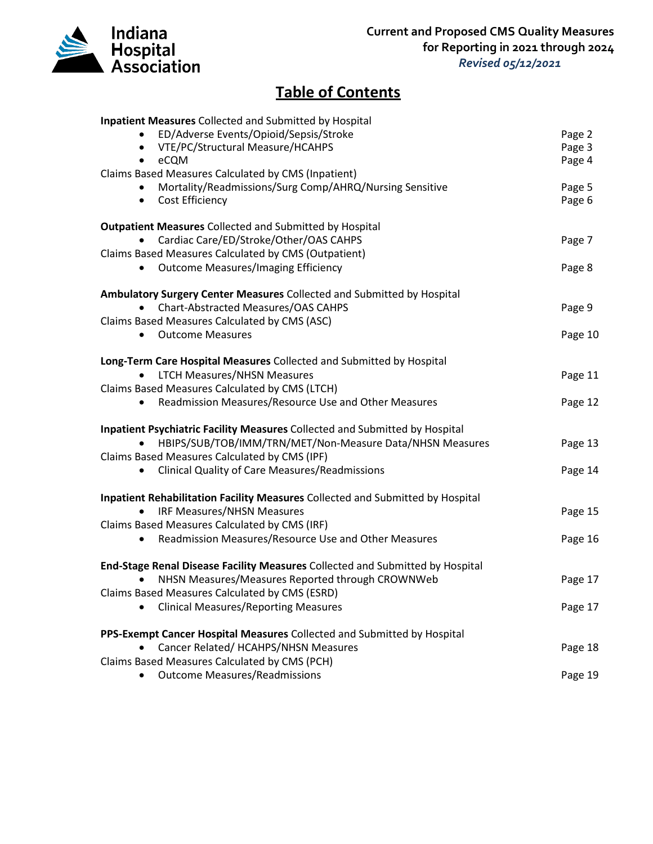

## **Table of Contents**

| <b>Inpatient Measures Collected and Submitted by Hospital</b>                  |         |
|--------------------------------------------------------------------------------|---------|
| ED/Adverse Events/Opioid/Sepsis/Stroke                                         | Page 2  |
| VTE/PC/Structural Measure/HCAHPS                                               | Page 3  |
| eCQM<br>٠                                                                      | Page 4  |
| Claims Based Measures Calculated by CMS (Inpatient)                            |         |
| Mortality/Readmissions/Surg Comp/AHRQ/Nursing Sensitive                        | Page 5  |
| Cost Efficiency<br>$\bullet$                                                   | Page 6  |
|                                                                                |         |
| <b>Outpatient Measures Collected and Submitted by Hospital</b>                 |         |
| Cardiac Care/ED/Stroke/Other/OAS CAHPS                                         | Page 7  |
| Claims Based Measures Calculated by CMS (Outpatient)                           |         |
| <b>Outcome Measures/Imaging Efficiency</b><br>٠                                | Page 8  |
|                                                                                |         |
| Ambulatory Surgery Center Measures Collected and Submitted by Hospital         |         |
| Chart-Abstracted Measures/OAS CAHPS                                            | Page 9  |
| Claims Based Measures Calculated by CMS (ASC)                                  |         |
| <b>Outcome Measures</b><br>٠                                                   | Page 10 |
|                                                                                |         |
| Long-Term Care Hospital Measures Collected and Submitted by Hospital           |         |
| <b>LTCH Measures/NHSN Measures</b>                                             | Page 11 |
| Claims Based Measures Calculated by CMS (LTCH)                                 |         |
| Readmission Measures/Resource Use and Other Measures                           | Page 12 |
|                                                                                |         |
| Inpatient Psychiatric Facility Measures Collected and Submitted by Hospital    |         |
| HBIPS/SUB/TOB/IMM/TRN/MET/Non-Measure Data/NHSN Measures                       | Page 13 |
|                                                                                |         |
| Claims Based Measures Calculated by CMS (IPF)                                  |         |
| <b>Clinical Quality of Care Measures/Readmissions</b><br>$\bullet$             | Page 14 |
|                                                                                |         |
| Inpatient Rehabilitation Facility Measures Collected and Submitted by Hospital |         |
| <b>IRF Measures/NHSN Measures</b>                                              | Page 15 |
| Claims Based Measures Calculated by CMS (IRF)                                  |         |
| Readmission Measures/Resource Use and Other Measures                           | Page 16 |
|                                                                                |         |
| End-Stage Renal Disease Facility Measures Collected and Submitted by Hospital  |         |
| NHSN Measures/Measures Reported through CROWNWeb                               | Page 17 |
| Claims Based Measures Calculated by CMS (ESRD)                                 |         |
| <b>Clinical Measures/Reporting Measures</b>                                    | Page 17 |
|                                                                                |         |
| PPS-Exempt Cancer Hospital Measures Collected and Submitted by Hospital        |         |
| Cancer Related/ HCAHPS/NHSN Measures                                           | Page 18 |
| Claims Based Measures Calculated by CMS (PCH)                                  |         |
| <b>Outcome Measures/Readmissions</b>                                           | Page 19 |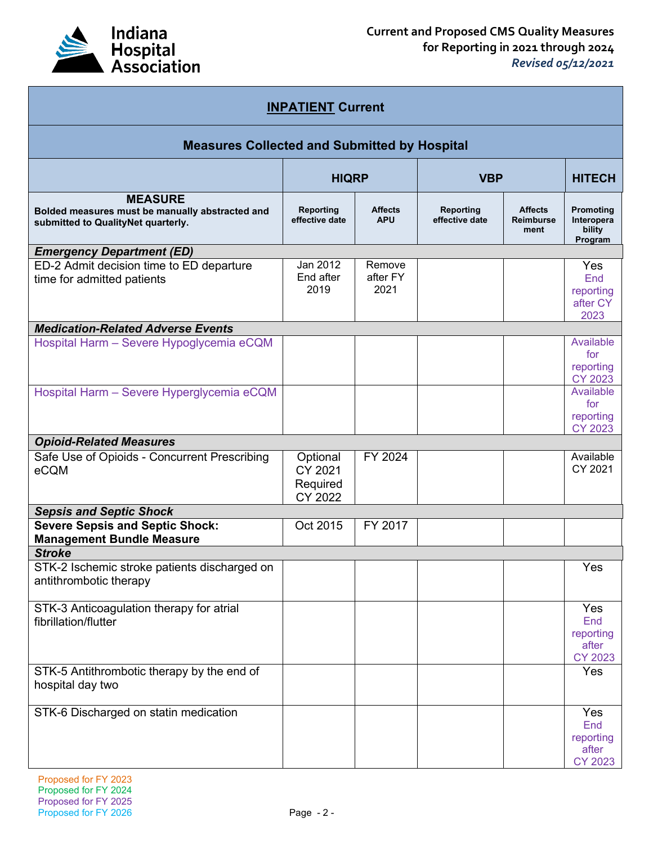

| <b>INPATIENT Current</b>                                                                                |                                            |                              |                             |                                            |                                                    |
|---------------------------------------------------------------------------------------------------------|--------------------------------------------|------------------------------|-----------------------------|--------------------------------------------|----------------------------------------------------|
| <b>Measures Collected and Submitted by Hospital</b>                                                     |                                            |                              |                             |                                            |                                                    |
|                                                                                                         | <b>HIQRP</b>                               |                              | <b>VBP</b>                  |                                            | <b>HITECH</b>                                      |
| <b>MEASURE</b><br>Bolded measures must be manually abstracted and<br>submitted to QualityNet quarterly. | <b>Reporting</b><br>effective date         | <b>Affects</b><br><b>APU</b> | Reporting<br>effective date | <b>Affects</b><br><b>Reimburse</b><br>ment | Promoting<br>Interopera<br>bility<br>Program       |
| <b>Emergency Department (ED)</b>                                                                        |                                            |                              |                             |                                            |                                                    |
| ED-2 Admit decision time to ED departure<br>time for admitted patients                                  | Jan 2012<br>End after<br>2019              | Remove<br>after FY<br>2021   |                             |                                            | <b>Yes</b><br>End<br>reporting<br>after CY<br>2023 |
| <b>Medication-Related Adverse Events</b>                                                                |                                            |                              |                             |                                            |                                                    |
| Hospital Harm - Severe Hypoglycemia eCQM                                                                |                                            |                              |                             |                                            | Available<br>for<br>reporting<br><b>CY 2023</b>    |
| Hospital Harm - Severe Hyperglycemia eCQM                                                               |                                            |                              |                             |                                            | Available<br>for<br>reporting<br><b>CY 2023</b>    |
| <b>Opioid-Related Measures</b>                                                                          |                                            |                              |                             |                                            |                                                    |
| Safe Use of Opioids - Concurrent Prescribing<br>eCQM                                                    | Optional<br>CY 2021<br>Required<br>CY 2022 | FY 2024                      |                             |                                            | Available<br>CY 2021                               |
| <b>Sepsis and Septic Shock</b>                                                                          |                                            |                              |                             |                                            |                                                    |
| <b>Severe Sepsis and Septic Shock:</b><br><b>Management Bundle Measure</b>                              | Oct 2015                                   | FY 2017                      |                             |                                            |                                                    |
| <b>Stroke</b>                                                                                           |                                            |                              |                             |                                            |                                                    |
| STK-2 Ischemic stroke patients discharged on<br>antithrombotic therapy                                  |                                            |                              |                             |                                            | Yes                                                |
| STK-3 Anticoagulation therapy for atrial<br>fibrillation/flutter                                        |                                            |                              |                             |                                            | Yes<br>End<br>reporting<br>after<br><b>CY 2023</b> |
| STK-5 Antithrombotic therapy by the end of<br>hospital day two                                          |                                            |                              |                             |                                            | Yes                                                |
| STK-6 Discharged on statin medication                                                                   |                                            |                              |                             |                                            | Yes<br>End<br>reporting<br>after<br>CY 2023        |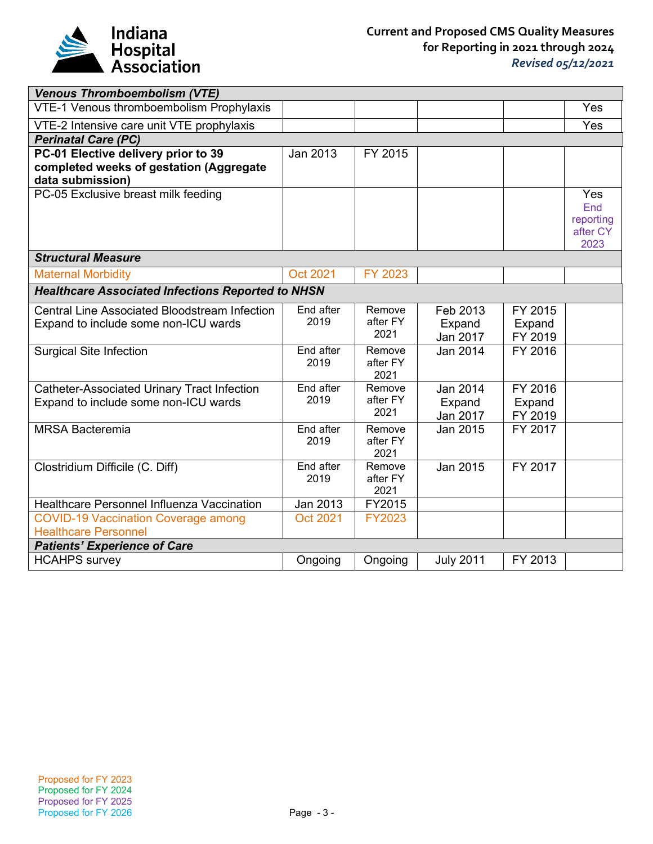

| <b>Venous Thromboembolism (VTE)</b>                                                                |                   |                            |                                |                              |                                             |
|----------------------------------------------------------------------------------------------------|-------------------|----------------------------|--------------------------------|------------------------------|---------------------------------------------|
| VTE-1 Venous thromboembolism Prophylaxis                                                           |                   |                            |                                |                              | Yes                                         |
| VTE-2 Intensive care unit VTE prophylaxis                                                          |                   |                            |                                |                              | Yes                                         |
| <b>Perinatal Care (PC)</b>                                                                         |                   |                            |                                |                              |                                             |
| PC-01 Elective delivery prior to 39<br>completed weeks of gestation (Aggregate<br>data submission) | Jan 2013          | FY 2015                    |                                |                              |                                             |
| PC-05 Exclusive breast milk feeding                                                                |                   |                            |                                |                              | Yes<br>End<br>reporting<br>after CY<br>2023 |
| <b>Structural Measure</b>                                                                          |                   |                            |                                |                              |                                             |
| <b>Maternal Morbidity</b>                                                                          | Oct 2021          | FY 2023                    |                                |                              |                                             |
| <b>Healthcare Associated Infections Reported to NHSN</b>                                           |                   |                            |                                |                              |                                             |
| <b>Central Line Associated Bloodstream Infection</b><br>Expand to include some non-ICU wards       | End after<br>2019 | Remove<br>after FY<br>2021 | Feb 2013<br>Expand<br>Jan 2017 | FY 2015<br>Expand<br>FY 2019 |                                             |
| <b>Surgical Site Infection</b>                                                                     | End after<br>2019 | Remove<br>after FY<br>2021 | Jan 2014                       | FY 2016                      |                                             |
| <b>Catheter-Associated Urinary Tract Infection</b><br>Expand to include some non-ICU wards         | End after<br>2019 | Remove<br>after FY<br>2021 | Jan 2014<br>Expand<br>Jan 2017 | FY 2016<br>Expand<br>FY 2019 |                                             |
| <b>MRSA Bacteremia</b>                                                                             | End after<br>2019 | Remove<br>after FY<br>2021 | Jan 2015                       | FY 2017                      |                                             |
| Clostridium Difficile (C. Diff)                                                                    | End after<br>2019 | Remove<br>after FY<br>2021 | Jan 2015                       | FY 2017                      |                                             |
| Healthcare Personnel Influenza Vaccination                                                         | Jan 2013          | FY2015                     |                                |                              |                                             |
| <b>COVID-19 Vaccination Coverage among</b><br><b>Healthcare Personnel</b>                          | <b>Oct 2021</b>   | FY2023                     |                                |                              |                                             |
| <b>Patients' Experience of Care</b>                                                                |                   |                            |                                |                              |                                             |
| <b>HCAHPS survey</b>                                                                               | Ongoing           | Ongoing                    | <b>July 2011</b>               | FY 2013                      |                                             |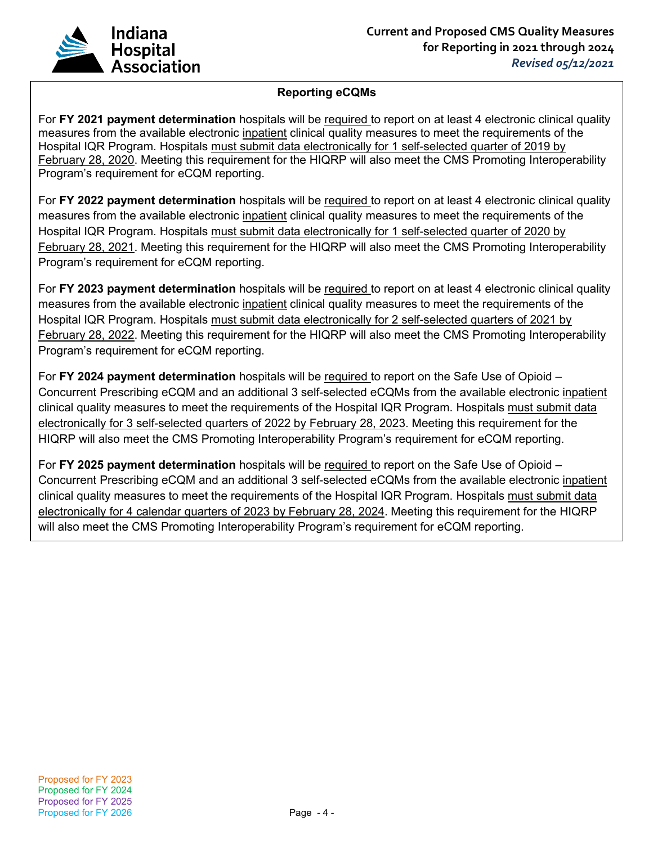

## **Reporting eCQMs**

For **FY 2021 payment determination** hospitals will be required to report on at least 4 electronic clinical quality measures from the available electronic inpatient clinical quality measures to meet the requirements of the Hospital IQR Program. Hospitals must submit data electronically for 1 self-selected quarter of 2019 by February 28, 2020. Meeting this requirement for the HIQRP will also meet the CMS Promoting Interoperability Program's requirement for eCQM reporting.

For **FY 2022 payment determination** hospitals will be required to report on at least 4 electronic clinical quality measures from the available electronic inpatient clinical quality measures to meet the requirements of the Hospital IQR Program. Hospitals must submit data electronically for 1 self-selected quarter of 2020 by February 28, 2021. Meeting this requirement for the HIQRP will also meet the CMS Promoting Interoperability Program's requirement for eCQM reporting.

For **FY 2023 payment determination** hospitals will be required to report on at least 4 electronic clinical quality measures from the available electronic inpatient clinical quality measures to meet the requirements of the Hospital IQR Program. Hospitals must submit data electronically for 2 self-selected quarters of 2021 by February 28, 2022. Meeting this requirement for the HIQRP will also meet the CMS Promoting Interoperability Program's requirement for eCQM reporting.

For **FY 2024 payment determination** hospitals will be required to report on the Safe Use of Opioid – Concurrent Prescribing eCQM and an additional 3 self-selected eCQMs from the available electronic inpatient clinical quality measures to meet the requirements of the Hospital IQR Program. Hospitals must submit data electronically for 3 self-selected quarters of 2022 by February 28, 2023. Meeting this requirement for the HIQRP will also meet the CMS Promoting Interoperability Program's requirement for eCQM reporting.

For **FY 2025 payment determination** hospitals will be required to report on the Safe Use of Opioid – Concurrent Prescribing eCQM and an additional 3 self-selected eCQMs from the available electronic inpatient clinical quality measures to meet the requirements of the Hospital IQR Program. Hospitals must submit data electronically for 4 calendar quarters of 2023 by February 28, 2024. Meeting this requirement for the HIQRP will also meet the CMS Promoting Interoperability Program's requirement for eCQM reporting.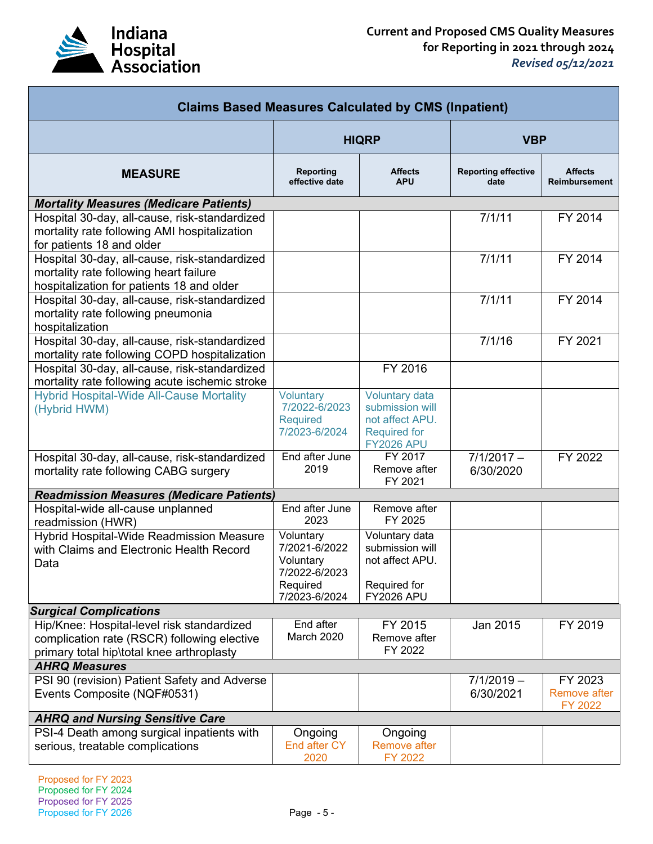

| <b>Claims Based Measures Calculated by CMS (Inpatient)</b>                                                                             |                                                                      |                                                                                                  |                                    |                                        |
|----------------------------------------------------------------------------------------------------------------------------------------|----------------------------------------------------------------------|--------------------------------------------------------------------------------------------------|------------------------------------|----------------------------------------|
|                                                                                                                                        | <b>HIQRP</b>                                                         |                                                                                                  | <b>VBP</b>                         |                                        |
| <b>MEASURE</b>                                                                                                                         | Reporting<br>effective date                                          | <b>Affects</b><br><b>APU</b>                                                                     | <b>Reporting effective</b><br>date | <b>Affects</b><br><b>Reimbursement</b> |
| <b>Mortality Measures (Medicare Patients)</b>                                                                                          |                                                                      |                                                                                                  |                                    |                                        |
| Hospital 30-day, all-cause, risk-standardized<br>mortality rate following AMI hospitalization<br>for patients 18 and older             |                                                                      |                                                                                                  | 7/1/11                             | FY 2014                                |
| Hospital 30-day, all-cause, risk-standardized<br>mortality rate following heart failure<br>hospitalization for patients 18 and older   |                                                                      |                                                                                                  | 7/1/11                             | FY 2014                                |
| Hospital 30-day, all-cause, risk-standardized<br>mortality rate following pneumonia<br>hospitalization                                 |                                                                      |                                                                                                  | 7/1/11                             | FY 2014                                |
| Hospital 30-day, all-cause, risk-standardized<br>mortality rate following COPD hospitalization                                         |                                                                      |                                                                                                  | 7/1/16                             | FY 2021                                |
| Hospital 30-day, all-cause, risk-standardized<br>mortality rate following acute ischemic stroke                                        |                                                                      | FY 2016                                                                                          |                                    |                                        |
| <b>Hybrid Hospital-Wide All-Cause Mortality</b><br>(Hybrid HWM)                                                                        | Voluntary<br>7/2022-6/2023<br><b>Required</b><br>7/2023-6/2024       | Voluntary data<br>submission will<br>not affect APU.<br><b>Required for</b><br><b>FY2026 APU</b> |                                    |                                        |
| Hospital 30-day, all-cause, risk-standardized<br>mortality rate following CABG surgery                                                 | End after June<br>2019                                               | FY 2017<br>Remove after<br>FY 2021                                                               | $7/1/2017 -$<br>6/30/2020          | FY 2022                                |
| <b>Readmission Measures (Medicare Patients)</b>                                                                                        |                                                                      |                                                                                                  |                                    |                                        |
| Hospital-wide all-cause unplanned<br>readmission (HWR)                                                                                 | End after June<br>2023                                               | Remove after<br>FY 2025                                                                          |                                    |                                        |
| Hybrid Hospital-Wide Readmission Measure<br>with Claims and Electronic Health Record<br>Data                                           | Voluntary<br>7/2021-6/2022<br>Voluntary<br>7/2022-6/2023<br>Required | Voluntary data<br>submission will<br>not affect APU.<br>Required for                             |                                    |                                        |
|                                                                                                                                        | 7/2023-6/2024                                                        | <b>FY2026 APU</b>                                                                                |                                    |                                        |
| <b>Surgical Complications</b>                                                                                                          |                                                                      |                                                                                                  |                                    |                                        |
| Hip/Knee: Hospital-level risk standardized<br>complication rate (RSCR) following elective<br>primary total hip\total knee arthroplasty | End after<br>March 2020                                              | FY 2015<br>Remove after<br>FY 2022                                                               | Jan 2015                           | FY 2019                                |
| <b>AHRQ Measures</b>                                                                                                                   |                                                                      |                                                                                                  |                                    |                                        |
| PSI 90 (revision) Patient Safety and Adverse<br>Events Composite (NQF#0531)                                                            |                                                                      |                                                                                                  | $7/1/2019 -$<br>6/30/2021          | FY 2023<br>Remove after<br>FY 2022     |
| <b>AHRQ and Nursing Sensitive Care</b>                                                                                                 |                                                                      |                                                                                                  |                                    |                                        |
| PSI-4 Death among surgical inpatients with<br>serious, treatable complications                                                         | Ongoing<br>End after CY<br>2020                                      | Ongoing<br><b>Remove after</b><br>FY 2022                                                        |                                    |                                        |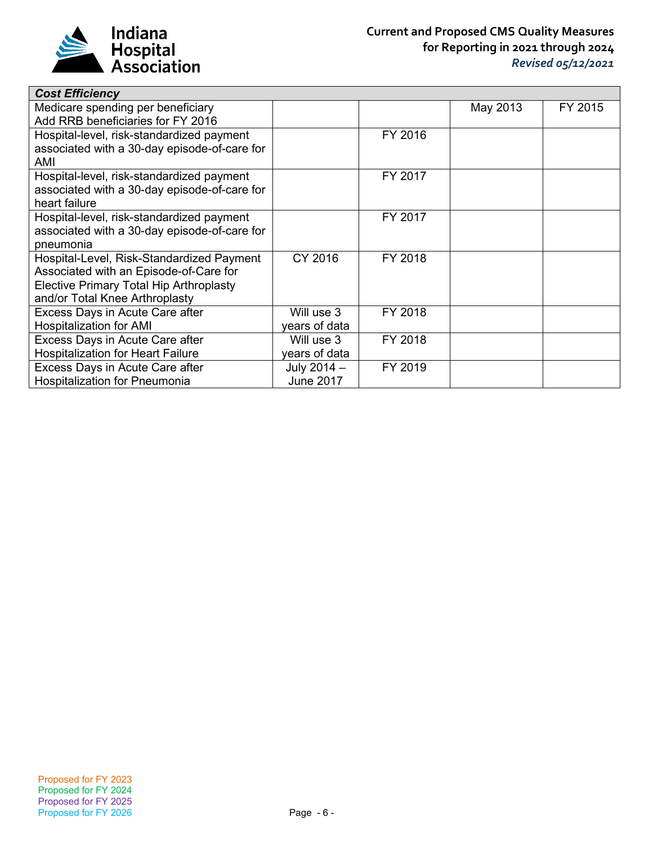

| <b>Cost Efficiency</b>                       |                  |         |          |         |
|----------------------------------------------|------------------|---------|----------|---------|
| Medicare spending per beneficiary            |                  |         | May 2013 | FY 2015 |
| Add RRB beneficiaries for FY 2016            |                  |         |          |         |
| Hospital-level, risk-standardized payment    |                  | FY 2016 |          |         |
| associated with a 30-day episode-of-care for |                  |         |          |         |
| AMI                                          |                  |         |          |         |
| Hospital-level, risk-standardized payment    |                  | FY 2017 |          |         |
| associated with a 30-day episode-of-care for |                  |         |          |         |
| heart failure                                |                  |         |          |         |
| Hospital-level, risk-standardized payment    |                  | FY 2017 |          |         |
| associated with a 30-day episode-of-care for |                  |         |          |         |
| pneumonia                                    |                  |         |          |         |
| Hospital-Level, Risk-Standardized Payment    | CY 2016          | FY 2018 |          |         |
| Associated with an Episode-of-Care for       |                  |         |          |         |
| Elective Primary Total Hip Arthroplasty      |                  |         |          |         |
| and/or Total Knee Arthroplasty               |                  |         |          |         |
| Excess Days in Acute Care after              | Will use 3       | FY 2018 |          |         |
| <b>Hospitalization for AMI</b>               | years of data    |         |          |         |
| Excess Days in Acute Care after              | Will use 3       | FY 2018 |          |         |
| <b>Hospitalization for Heart Failure</b>     | years of data    |         |          |         |
| Excess Days in Acute Care after              | July $2014 -$    | FY 2019 |          |         |
| <b>Hospitalization for Pneumonia</b>         | <b>June 2017</b> |         |          |         |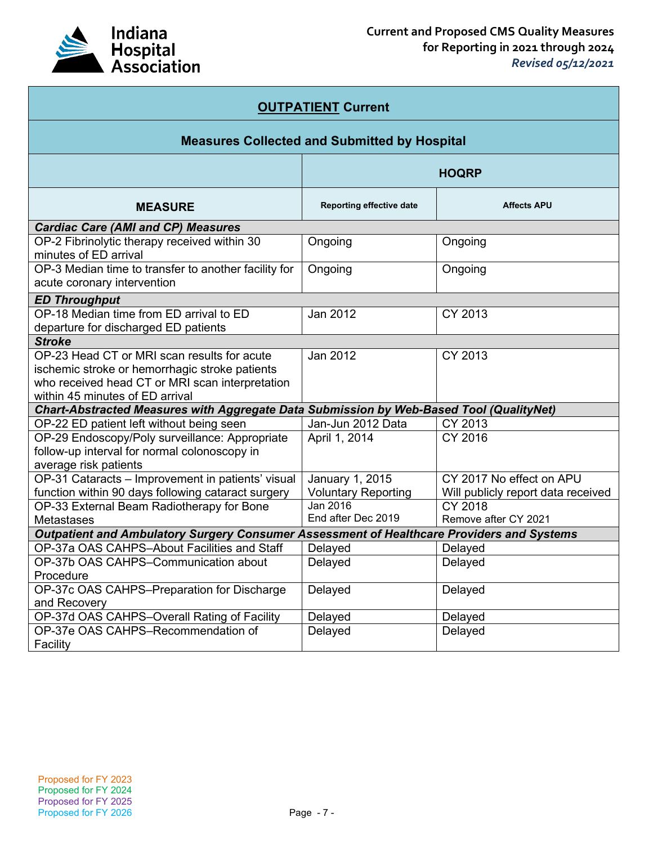

| <b>OUTPATIENT Current</b>                                                                                                                                                           |                            |                                    |  |
|-------------------------------------------------------------------------------------------------------------------------------------------------------------------------------------|----------------------------|------------------------------------|--|
| <b>Measures Collected and Submitted by Hospital</b>                                                                                                                                 |                            |                                    |  |
|                                                                                                                                                                                     |                            | <b>HOQRP</b>                       |  |
| <b>MEASURE</b>                                                                                                                                                                      | Reporting effective date   | <b>Affects APU</b>                 |  |
| <b>Cardiac Care (AMI and CP) Measures</b>                                                                                                                                           |                            |                                    |  |
| OP-2 Fibrinolytic therapy received within 30<br>minutes of ED arrival                                                                                                               | Ongoing                    | Ongoing                            |  |
| OP-3 Median time to transfer to another facility for<br>acute coronary intervention                                                                                                 | Ongoing                    | Ongoing                            |  |
| <b>ED Throughput</b>                                                                                                                                                                |                            |                                    |  |
| OP-18 Median time from ED arrival to ED<br>departure for discharged ED patients                                                                                                     | Jan 2012                   | CY 2013                            |  |
| <b>Stroke</b>                                                                                                                                                                       |                            |                                    |  |
| OP-23 Head CT or MRI scan results for acute<br>ischemic stroke or hemorrhagic stroke patients<br>who received head CT or MRI scan interpretation<br>within 45 minutes of ED arrival | Jan 2012                   | CY 2013                            |  |
| Chart-Abstracted Measures with Aggregate Data Submission by Web-Based Tool (QualityNet)                                                                                             |                            |                                    |  |
| OP-22 ED patient left without being seen                                                                                                                                            | Jan-Jun 2012 Data          | CY 2013                            |  |
| OP-29 Endoscopy/Poly surveillance: Appropriate<br>follow-up interval for normal colonoscopy in<br>average risk patients                                                             | April 1, 2014              | CY 2016                            |  |
| OP-31 Cataracts - Improvement in patients' visual                                                                                                                                   | January 1, 2015            | CY 2017 No effect on APU           |  |
| function within 90 days following cataract surgery                                                                                                                                  | <b>Voluntary Reporting</b> | Will publicly report data received |  |
| OP-33 External Beam Radiotherapy for Bone                                                                                                                                           | Jan 2016                   | CY 2018                            |  |
| <b>Metastases</b>                                                                                                                                                                   | End after Dec 2019         | Remove after CY 2021               |  |
| Outpatient and Ambulatory Surgery Consumer Assessment of Healthcare Providers and Systems                                                                                           |                            |                                    |  |
| OP-37a OAS CAHPS-About Facilities and Staff                                                                                                                                         | Delayed                    | Delayed                            |  |
| OP-37b OAS CAHPS-Communication about<br>Procedure                                                                                                                                   | Delayed                    | Delayed                            |  |
| OP-37c OAS CAHPS-Preparation for Discharge<br>and Recovery                                                                                                                          | Delayed                    | Delayed                            |  |
| OP-37d OAS CAHPS-Overall Rating of Facility                                                                                                                                         | Delayed                    | Delayed                            |  |
| OP-37e OAS CAHPS-Recommendation of<br>Facility                                                                                                                                      | Delayed                    | Delayed                            |  |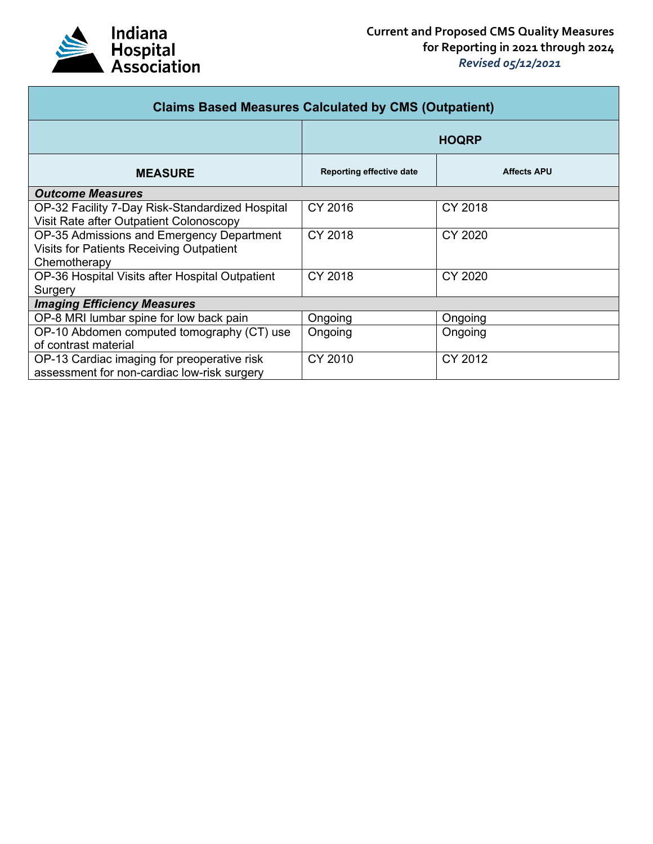

| <b>Claims Based Measures Calculated by CMS (Outpatient)</b> |                                 |                    |  |
|-------------------------------------------------------------|---------------------------------|--------------------|--|
|                                                             | <b>HOQRP</b>                    |                    |  |
| <b>MEASURE</b>                                              | <b>Reporting effective date</b> | <b>Affects APU</b> |  |
| <b>Outcome Measures</b>                                     |                                 |                    |  |
| OP-32 Facility 7-Day Risk-Standardized Hospital             | CY 2016                         | CY 2018            |  |
| Visit Rate after Outpatient Colonoscopy                     |                                 |                    |  |
| OP-35 Admissions and Emergency Department                   | CY 2018                         | CY 2020            |  |
| Visits for Patients Receiving Outpatient                    |                                 |                    |  |
| Chemotherapy                                                |                                 |                    |  |
| OP-36 Hospital Visits after Hospital Outpatient             | CY 2018                         | CY 2020            |  |
| Surgery                                                     |                                 |                    |  |
| <b>Imaging Efficiency Measures</b>                          |                                 |                    |  |
| OP-8 MRI lumbar spine for low back pain                     | Ongoing                         | Ongoing            |  |
| OP-10 Abdomen computed tomography (CT) use                  | Ongoing                         | Ongoing            |  |
| of contrast material                                        |                                 |                    |  |
| OP-13 Cardiac imaging for preoperative risk                 | CY 2010                         | CY 2012            |  |
| assessment for non-cardiac low-risk surgery                 |                                 |                    |  |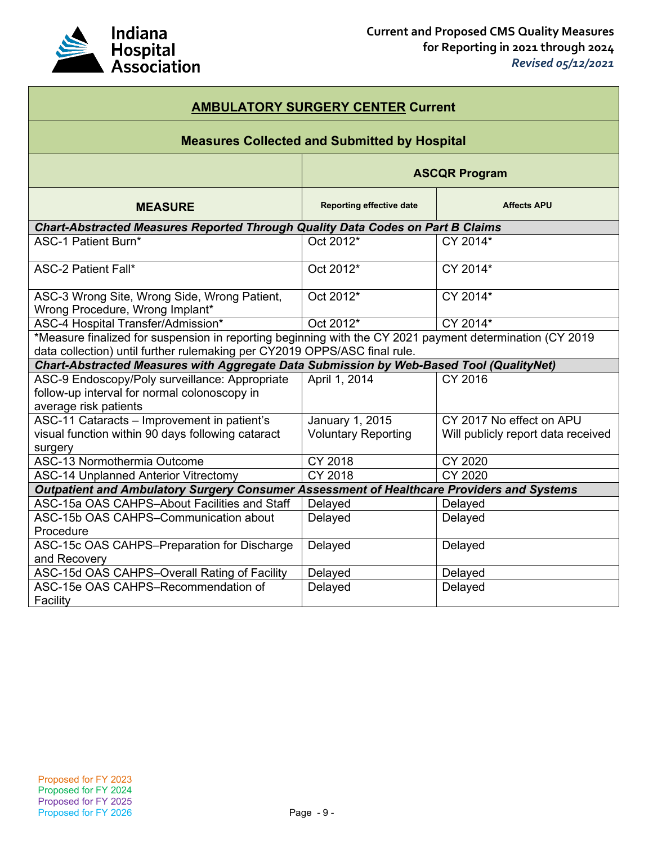

| <b>AMBULATORY SURGERY CENTER Current</b>                                                                 |                                                     |                                    |  |
|----------------------------------------------------------------------------------------------------------|-----------------------------------------------------|------------------------------------|--|
|                                                                                                          | <b>Measures Collected and Submitted by Hospital</b> |                                    |  |
|                                                                                                          | <b>ASCQR Program</b>                                |                                    |  |
| <b>MEASURE</b>                                                                                           | <b>Reporting effective date</b>                     | <b>Affects APU</b>                 |  |
| Chart-Abstracted Measures Reported Through Quality Data Codes on Part B Claims                           |                                                     |                                    |  |
| <b>ASC-1 Patient Burn*</b>                                                                               | Oct 2012*                                           | CY 2014*                           |  |
| <b>ASC-2 Patient Fall*</b>                                                                               | Oct 2012*                                           | CY 2014*                           |  |
| ASC-3 Wrong Site, Wrong Side, Wrong Patient,<br>Wrong Procedure, Wrong Implant*                          | Oct 2012*                                           | CY 2014*                           |  |
| ASC-4 Hospital Transfer/Admission*                                                                       | Oct 2012*                                           | CY 2014*                           |  |
| *Measure finalized for suspension in reporting beginning with the CY 2021 payment determination (CY 2019 |                                                     |                                    |  |
| data collection) until further rulemaking per CY2019 OPPS/ASC final rule.                                |                                                     |                                    |  |
| Chart-Abstracted Measures with Aggregate Data Submission by Web-Based Tool (QualityNet)                  |                                                     |                                    |  |
| ASC-9 Endoscopy/Poly surveillance: Appropriate                                                           | April 1, 2014                                       | CY 2016                            |  |
| follow-up interval for normal colonoscopy in                                                             |                                                     |                                    |  |
| average risk patients                                                                                    |                                                     |                                    |  |
| ASC-11 Cataracts - Improvement in patient's                                                              | January 1, 2015                                     | CY 2017 No effect on APU           |  |
| visual function within 90 days following cataract                                                        | <b>Voluntary Reporting</b>                          | Will publicly report data received |  |
| surgery<br>ASC-13 Normothermia Outcome                                                                   | CY 2018                                             | CY 2020                            |  |
| <b>ASC-14 Unplanned Anterior Vitrectomy</b>                                                              | <b>CY 2018</b>                                      | CY 2020                            |  |
| Outpatient and Ambulatory Surgery Consumer Assessment of Healthcare Providers and Systems                |                                                     |                                    |  |
| ASC-15a OAS CAHPS-About Facilities and Staff                                                             | Delayed                                             | Delayed                            |  |
| ASC-15b OAS CAHPS-Communication about                                                                    | Delayed                                             | Delayed                            |  |
| Procedure                                                                                                |                                                     |                                    |  |
| ASC-15c OAS CAHPS-Preparation for Discharge                                                              | Delayed                                             | Delayed                            |  |
| and Recovery                                                                                             |                                                     |                                    |  |
| ASC-15d OAS CAHPS-Overall Rating of Facility                                                             | Delayed                                             | Delayed                            |  |
| ASC-15e OAS CAHPS-Recommendation of                                                                      | Delayed                                             | Delayed                            |  |
| Facility                                                                                                 |                                                     |                                    |  |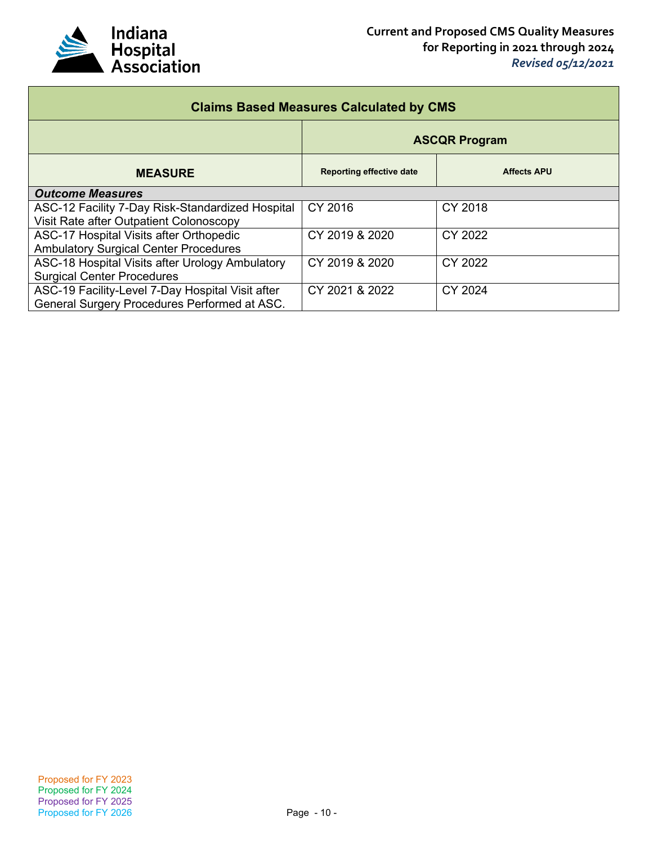

| <b>Claims Based Measures Calculated by CMS</b>   |                                 |                    |  |
|--------------------------------------------------|---------------------------------|--------------------|--|
|                                                  | <b>ASCQR Program</b>            |                    |  |
| <b>MEASURE</b>                                   | <b>Reporting effective date</b> | <b>Affects APU</b> |  |
| <b>Outcome Measures</b>                          |                                 |                    |  |
| ASC-12 Facility 7-Day Risk-Standardized Hospital | CY 2016                         | CY 2018            |  |
| Visit Rate after Outpatient Colonoscopy          |                                 |                    |  |
| ASC-17 Hospital Visits after Orthopedic          | CY 2019 & 2020                  | CY 2022            |  |
| <b>Ambulatory Surgical Center Procedures</b>     |                                 |                    |  |
| ASC-18 Hospital Visits after Urology Ambulatory  | CY 2019 & 2020                  | CY 2022            |  |
| <b>Surgical Center Procedures</b>                |                                 |                    |  |
| ASC-19 Facility-Level 7-Day Hospital Visit after | CY 2021 & 2022                  | CY 2024            |  |
| General Surgery Procedures Performed at ASC.     |                                 |                    |  |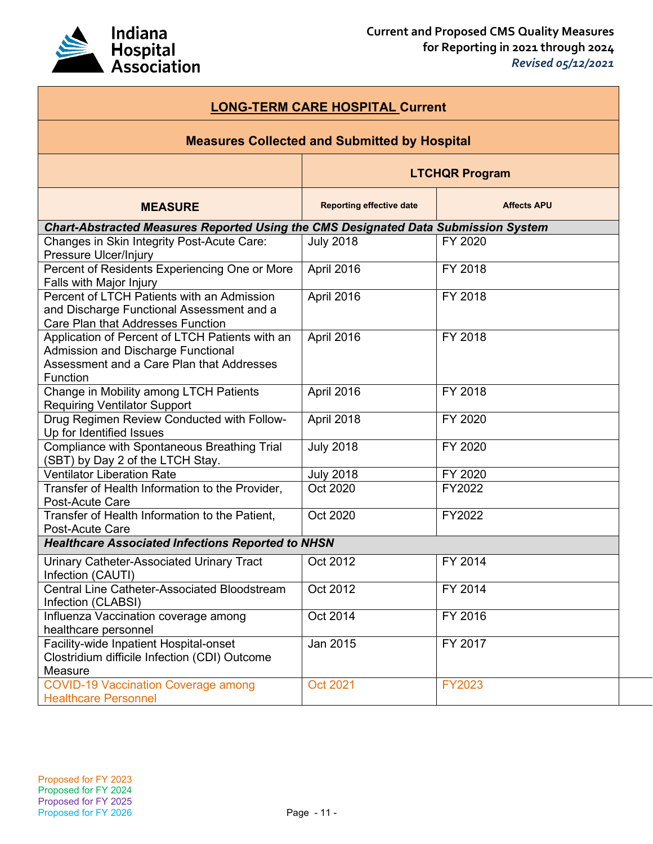

| <b>LONG-TERM CARE HOSPITAL Current</b>                                                                                                                |                                                     |                    |
|-------------------------------------------------------------------------------------------------------------------------------------------------------|-----------------------------------------------------|--------------------|
|                                                                                                                                                       | <b>Measures Collected and Submitted by Hospital</b> |                    |
| <b>LTCHQR Program</b>                                                                                                                                 |                                                     |                    |
| <b>MEASURE</b>                                                                                                                                        | <b>Reporting effective date</b>                     | <b>Affects APU</b> |
| Chart-Abstracted Measures Reported Using the CMS Designated Data Submission System                                                                    |                                                     |                    |
| Changes in Skin Integrity Post-Acute Care:<br>Pressure Ulcer/Injury                                                                                   | <b>July 2018</b>                                    | FY 2020            |
| Percent of Residents Experiencing One or More<br>Falls with Major Injury                                                                              | April 2016                                          | FY 2018            |
| Percent of LTCH Patients with an Admission<br>and Discharge Functional Assessment and a<br><b>Care Plan that Addresses Function</b>                   | April 2016                                          | FY 2018            |
| Application of Percent of LTCH Patients with an<br><b>Admission and Discharge Functional</b><br>Assessment and a Care Plan that Addresses<br>Function | April 2016                                          | FY 2018            |
| Change in Mobility among LTCH Patients<br><b>Requiring Ventilator Support</b>                                                                         | April 2016                                          | FY 2018            |
| Drug Regimen Review Conducted with Follow-<br>Up for Identified Issues                                                                                | April 2018                                          | FY 2020            |
| Compliance with Spontaneous Breathing Trial<br>(SBT) by Day 2 of the LTCH Stay.                                                                       | <b>July 2018</b>                                    | FY 2020            |
| <b>Ventilator Liberation Rate</b>                                                                                                                     | <b>July 2018</b>                                    | FY 2020            |
| Transfer of Health Information to the Provider,<br>Post-Acute Care                                                                                    | Oct 2020                                            | FY2022             |
| Transfer of Health Information to the Patient,<br>Post-Acute Care                                                                                     | Oct 2020                                            | FY2022             |
| <b>Healthcare Associated Infections Reported to NHSN</b>                                                                                              |                                                     |                    |
| Urinary Catheter-Associated Urinary Tract<br>Infection (CAUTI)                                                                                        | Oct 2012                                            | FY 2014            |
| Central Line Catheter-Associated Bloodstream<br>Infection (CLABSI)                                                                                    | Oct 2012                                            | FY 2014            |
| Influenza Vaccination coverage among<br>healthcare personnel                                                                                          | Oct 2014                                            | FY 2016            |
| Facility-wide Inpatient Hospital-onset<br>Clostridium difficile Infection (CDI) Outcome<br>Measure                                                    | Jan 2015                                            | FY 2017            |
| <b>COVID-19 Vaccination Coverage among</b><br><b>Healthcare Personnel</b>                                                                             | <b>Oct 2021</b>                                     | <b>FY2023</b>      |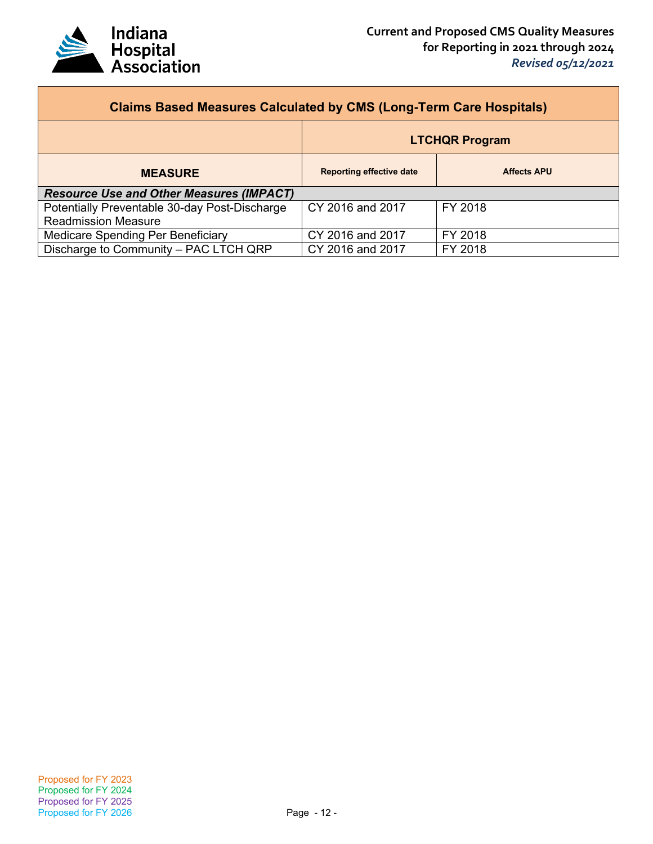

| <b>Claims Based Measures Calculated by CMS (Long-Term Care Hospitals)</b> |                                 |                    |  |
|---------------------------------------------------------------------------|---------------------------------|--------------------|--|
|                                                                           | <b>LTCHQR Program</b>           |                    |  |
| <b>MEASURE</b>                                                            | <b>Reporting effective date</b> | <b>Affects APU</b> |  |
| <b>Resource Use and Other Measures (IMPACT)</b>                           |                                 |                    |  |
| Potentially Preventable 30-day Post-Discharge                             | CY 2016 and 2017                | FY 2018            |  |
| <b>Readmission Measure</b>                                                |                                 |                    |  |
| Medicare Spending Per Beneficiary                                         | CY 2016 and 2017                | FY 2018            |  |
| Discharge to Community - PAC LTCH QRP                                     | CY 2016 and 2017                | FY 2018            |  |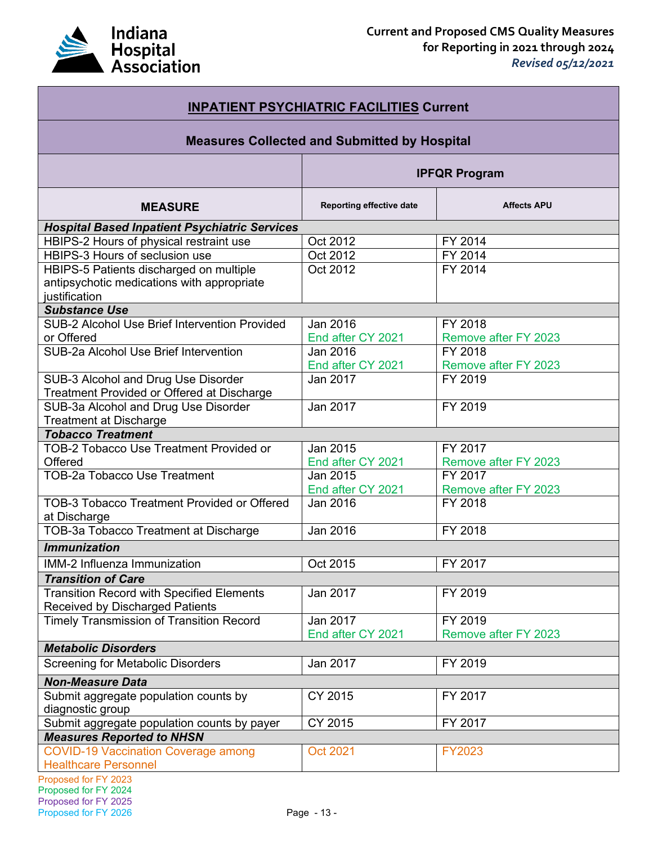

| <b>INPATIENT PSYCHIATRIC FACILITIES Current</b>                                                        |                                                     |                                 |  |
|--------------------------------------------------------------------------------------------------------|-----------------------------------------------------|---------------------------------|--|
|                                                                                                        | <b>Measures Collected and Submitted by Hospital</b> |                                 |  |
| <b>IPFQR Program</b>                                                                                   |                                                     |                                 |  |
| <b>MEASURE</b>                                                                                         | Reporting effective date                            | <b>Affects APU</b>              |  |
| <b>Hospital Based Inpatient Psychiatric Services</b>                                                   |                                                     |                                 |  |
| HBIPS-2 Hours of physical restraint use                                                                | Oct 2012                                            | FY 2014                         |  |
| HBIPS-3 Hours of seclusion use                                                                         | Oct 2012                                            | FY 2014                         |  |
| HBIPS-5 Patients discharged on multiple<br>antipsychotic medications with appropriate<br>justification | Oct 2012                                            | FY 2014                         |  |
| <b>Substance Use</b>                                                                                   |                                                     |                                 |  |
| <b>SUB-2 Alcohol Use Brief Intervention Provided</b>                                                   | Jan 2016                                            | FY 2018                         |  |
| or Offered                                                                                             | End after CY 2021                                   | Remove after FY 2023            |  |
| SUB-2a Alcohol Use Brief Intervention                                                                  | Jan 2016                                            | FY 2018                         |  |
|                                                                                                        | End after CY 2021                                   | Remove after FY 2023            |  |
| SUB-3 Alcohol and Drug Use Disorder<br>Treatment Provided or Offered at Discharge                      | Jan 2017                                            | FY 2019                         |  |
| SUB-3a Alcohol and Drug Use Disorder                                                                   | Jan 2017                                            | FY 2019                         |  |
| <b>Treatment at Discharge</b>                                                                          |                                                     |                                 |  |
| <b>Tobacco Treatment</b>                                                                               |                                                     |                                 |  |
| <b>TOB-2 Tobacco Use Treatment Provided or</b>                                                         | Jan 2015                                            | FY 2017                         |  |
| Offered                                                                                                | End after CY 2021                                   | Remove after FY 2023            |  |
| <b>TOB-2a Tobacco Use Treatment</b>                                                                    | Jan 2015                                            | FY 2017                         |  |
|                                                                                                        | End after CY 2021                                   | Remove after FY 2023            |  |
| <b>TOB-3 Tobacco Treatment Provided or Offered</b><br>at Discharge                                     | Jan 2016                                            | FY 2018                         |  |
| TOB-3a Tobacco Treatment at Discharge                                                                  | Jan 2016                                            | FY 2018                         |  |
| <b>Immunization</b>                                                                                    |                                                     |                                 |  |
| <b>IMM-2 Influenza Immunization</b>                                                                    | Oct 2015                                            | FY 2017                         |  |
| <b>Transition of Care</b>                                                                              |                                                     |                                 |  |
| <b>Transition Record with Specified Elements</b>                                                       | Jan 2017                                            | FY 2019                         |  |
| <b>Received by Discharged Patients</b>                                                                 |                                                     |                                 |  |
| <b>Timely Transmission of Transition Record</b>                                                        | Jan 2017<br>End after CY 2021                       | FY 2019<br>Remove after FY 2023 |  |
| <b>Metabolic Disorders</b>                                                                             |                                                     |                                 |  |
| <b>Screening for Metabolic Disorders</b>                                                               | Jan 2017                                            | FY 2019                         |  |
| <b>Non-Measure Data</b>                                                                                |                                                     |                                 |  |
| Submit aggregate population counts by<br>diagnostic group                                              | CY 2015                                             | FY 2017                         |  |
| Submit aggregate population counts by payer                                                            | CY 2015                                             | FY 2017                         |  |
| <b>Measures Reported to NHSN</b>                                                                       |                                                     |                                 |  |
| <b>COVID-19 Vaccination Coverage among</b><br><b>Healthcare Personnel</b>                              | <b>Oct 2021</b>                                     | FY2023                          |  |
| Proposed for FY 2023<br>Proposed for FY 2024                                                           |                                                     |                                 |  |

Proposed for FY 2025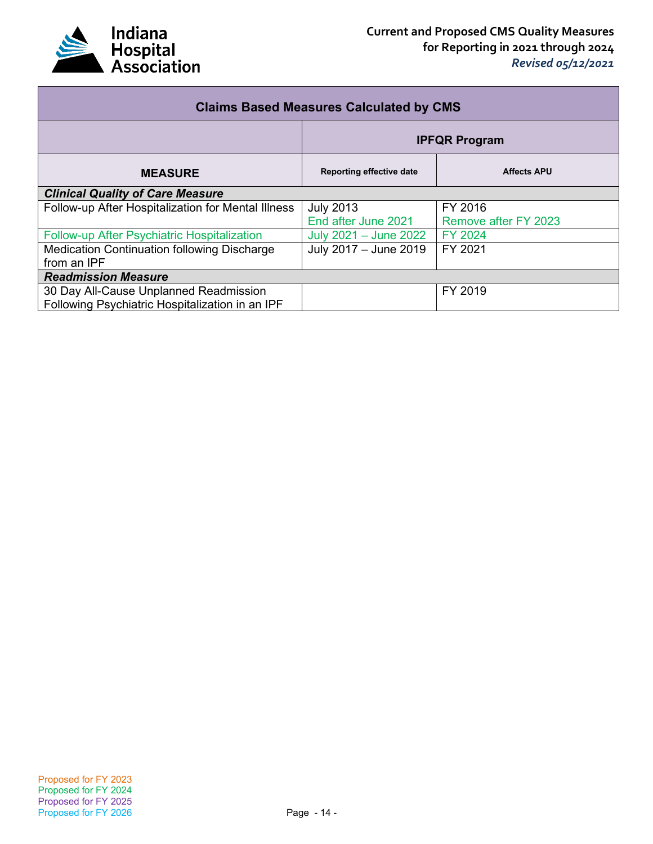

| <b>Claims Based Measures Calculated by CMS</b>     |                          |                      |
|----------------------------------------------------|--------------------------|----------------------|
|                                                    | <b>IPFQR Program</b>     |                      |
| <b>MEASURE</b>                                     | Reporting effective date | <b>Affects APU</b>   |
| <b>Clinical Quality of Care Measure</b>            |                          |                      |
| Follow-up After Hospitalization for Mental Illness | <b>July 2013</b>         | FY 2016              |
|                                                    | End after June 2021      | Remove after FY 2023 |
| Follow-up After Psychiatric Hospitalization        | July 2021 - June 2022    | FY 2024              |
| Medication Continuation following Discharge        | July 2017 - June 2019    | FY 2021              |
| from an IPF                                        |                          |                      |
| <b>Readmission Measure</b>                         |                          |                      |
| 30 Day All-Cause Unplanned Readmission             |                          | FY 2019              |
| Following Psychiatric Hospitalization in an IPF    |                          |                      |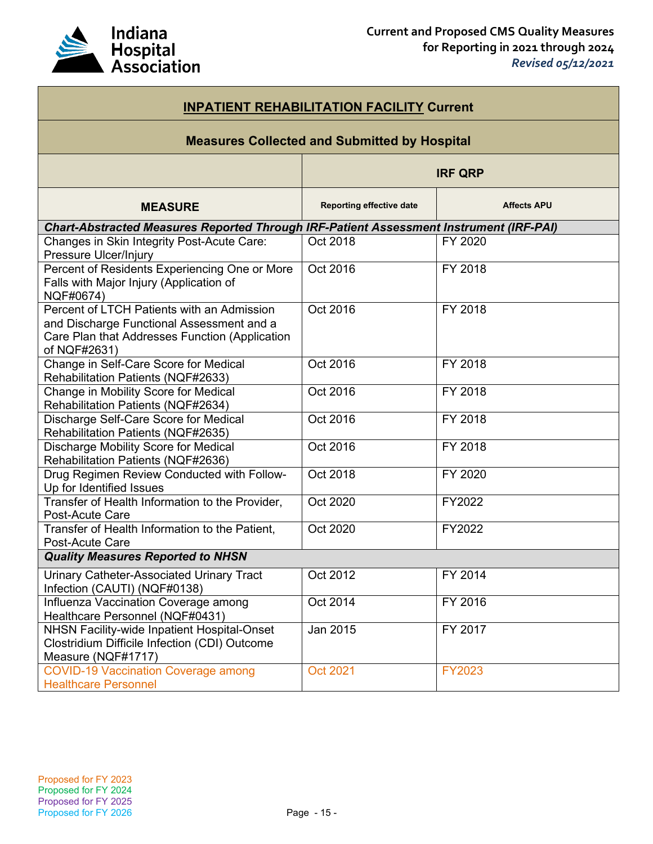

| <b>INPATIENT REHABILITATION FACILITY Current</b>                                                                                                          |                                 |                    |  |
|-----------------------------------------------------------------------------------------------------------------------------------------------------------|---------------------------------|--------------------|--|
| <b>Measures Collected and Submitted by Hospital</b>                                                                                                       |                                 |                    |  |
|                                                                                                                                                           | <b>IRF QRP</b>                  |                    |  |
| <b>MEASURE</b>                                                                                                                                            | <b>Reporting effective date</b> | <b>Affects APU</b> |  |
| Chart-Abstracted Measures Reported Through IRF-Patient Assessment Instrument (IRF-PAI)                                                                    |                                 |                    |  |
| <b>Changes in Skin Integrity Post-Acute Care:</b><br>Pressure Ulcer/Injury                                                                                | Oct 2018                        | FY 2020            |  |
| Percent of Residents Experiencing One or More<br>Falls with Major Injury (Application of<br>NQF#0674)                                                     | Oct 2016                        | FY 2018            |  |
| Percent of LTCH Patients with an Admission<br>and Discharge Functional Assessment and a<br>Care Plan that Addresses Function (Application<br>of NQF#2631) | Oct 2016                        | FY 2018            |  |
| Change in Self-Care Score for Medical<br>Rehabilitation Patients (NQF#2633)                                                                               | Oct 2016                        | FY 2018            |  |
| Change in Mobility Score for Medical<br>Rehabilitation Patients (NQF#2634)                                                                                | Oct 2016                        | FY 2018            |  |
| Discharge Self-Care Score for Medical<br>Rehabilitation Patients (NQF#2635)                                                                               | Oct 2016                        | FY 2018            |  |
| Discharge Mobility Score for Medical<br>Rehabilitation Patients (NQF#2636)                                                                                | Oct 2016                        | FY 2018            |  |
| Drug Regimen Review Conducted with Follow-<br>Up for Identified Issues                                                                                    | Oct 2018                        | FY 2020            |  |
| Transfer of Health Information to the Provider,<br>Post-Acute Care                                                                                        | Oct 2020                        | FY2022             |  |
| Transfer of Health Information to the Patient,<br>Post-Acute Care                                                                                         | Oct 2020                        | FY2022             |  |
| <b>Quality Measures Reported to NHSN</b>                                                                                                                  |                                 |                    |  |
| Urinary Catheter-Associated Urinary Tract<br>Infection (CAUTI) (NQF#0138)                                                                                 | Oct 2012                        | FY 2014            |  |
| Influenza Vaccination Coverage among<br>Healthcare Personnel (NQF#0431)                                                                                   | Oct 2014                        | FY 2016            |  |
| NHSN Facility-wide Inpatient Hospital-Onset<br>Clostridium Difficile Infection (CDI) Outcome<br>Measure (NQF#1717)                                        | Jan 2015                        | FY 2017            |  |
| <b>COVID-19 Vaccination Coverage among</b><br><b>Healthcare Personnel</b>                                                                                 | <b>Oct 2021</b>                 | FY2023             |  |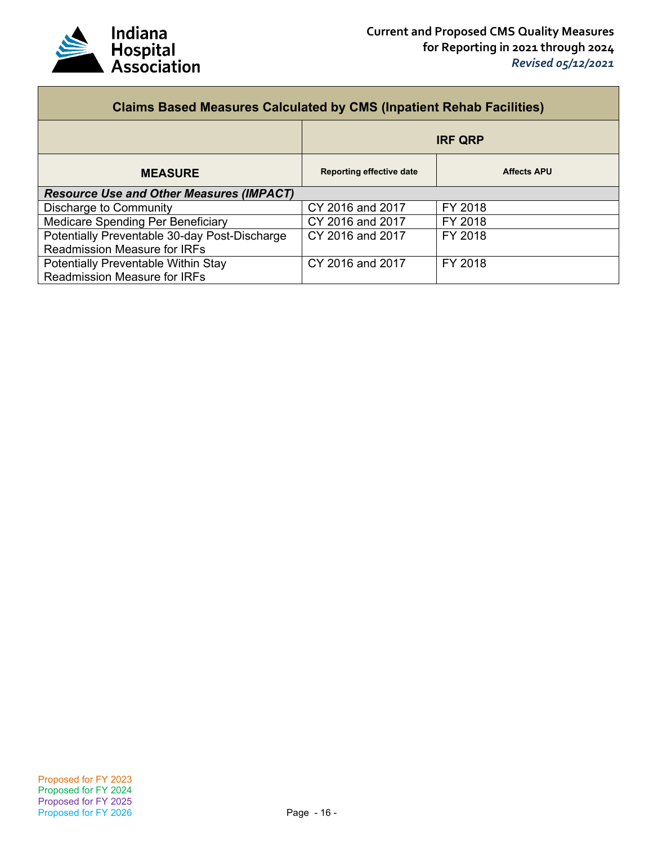

| <b>Claims Based Measures Calculated by CMS (Inpatient Rehab Facilities)</b>          |                                 |                    |  |
|--------------------------------------------------------------------------------------|---------------------------------|--------------------|--|
|                                                                                      | <b>IRF QRP</b>                  |                    |  |
| <b>MEASURE</b>                                                                       | <b>Reporting effective date</b> | <b>Affects APU</b> |  |
| <b>Resource Use and Other Measures (IMPACT)</b>                                      |                                 |                    |  |
| Discharge to Community                                                               | CY 2016 and 2017                | FY 2018            |  |
| Medicare Spending Per Beneficiary                                                    | CY 2016 and 2017                | FY 2018            |  |
| Potentially Preventable 30-day Post-Discharge<br><b>Readmission Measure for IRFs</b> | CY 2016 and 2017                | FY 2018            |  |
| Potentially Preventable Within Stay<br><b>Readmission Measure for IRFs</b>           | CY 2016 and 2017                | FY 2018            |  |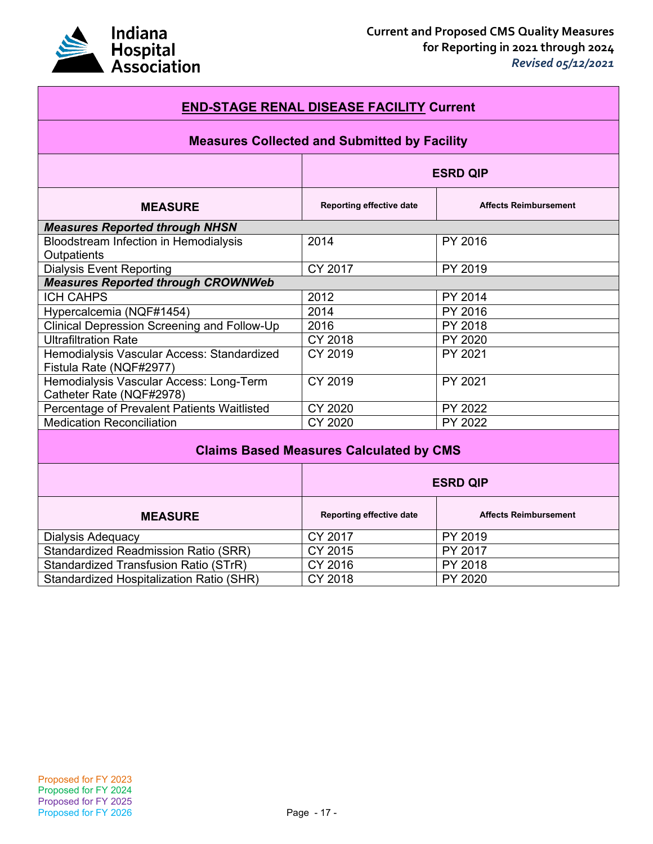

| <b>END-STAGE RENAL DISEASE FACILITY Current</b>                       |                          |                              |  |
|-----------------------------------------------------------------------|--------------------------|------------------------------|--|
| <b>Measures Collected and Submitted by Facility</b>                   |                          |                              |  |
|                                                                       | <b>ESRD QIP</b>          |                              |  |
| <b>MEASURE</b>                                                        | Reporting effective date | <b>Affects Reimbursement</b> |  |
| <b>Measures Reported through NHSN</b>                                 |                          |                              |  |
| Bloodstream Infection in Hemodialysis<br>Outpatients                  | 2014                     | PY 2016                      |  |
| <b>Dialysis Event Reporting</b>                                       | CY 2017                  | PY 2019                      |  |
| <b>Measures Reported through CROWNWeb</b>                             |                          |                              |  |
| <b>ICH CAHPS</b>                                                      | 2012                     | PY 2014                      |  |
| Hypercalcemia (NQF#1454)                                              | 2014                     | PY 2016                      |  |
| <b>Clinical Depression Screening and Follow-Up</b>                    | 2016                     | PY 2018                      |  |
| <b>Ultrafiltration Rate</b>                                           | <b>CY 2018</b>           | <b>PY 2020</b>               |  |
| Hemodialysis Vascular Access: Standardized<br>Fistula Rate (NQF#2977) | <b>CY 2019</b>           | PY 2021                      |  |
| Hemodialysis Vascular Access: Long-Term<br>Catheter Rate (NQF#2978)   | CY 2019                  | PY 2021                      |  |
| Percentage of Prevalent Patients Waitlisted                           | CY 2020                  | PY 2022                      |  |
| <b>Medication Reconciliation</b>                                      | CY 2020                  | PY 2022                      |  |
| <b>Claims Based Measures Calculated by CMS</b>                        |                          |                              |  |
|                                                                       | <b>ESRD QIP</b>          |                              |  |
| <b>MEASURE</b>                                                        | Reporting effective date | <b>Affects Reimbursement</b> |  |
| Dialysis Adequacy                                                     | CY 2017                  | PY 2019                      |  |
| <b>Standardized Readmission Ratio (SRR)</b>                           | $\overline{CY}$ 2015     | <b>PY 2017</b>               |  |
| <b>Standardized Transfusion Ratio (STrR)</b>                          | CY 2016                  | PY 2018                      |  |
| Standardized Hospitalization Ratio (SHR)                              | CY 2018                  | PY 2020                      |  |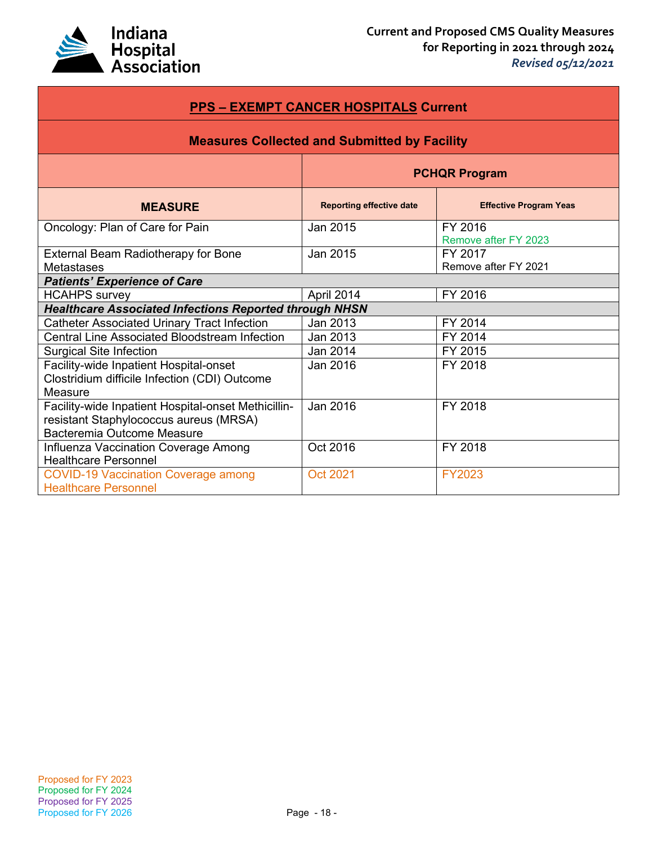

| <b>PPS - EXEMPT CANCER HOSPITALS Current</b>                                                                                |                                 |                                 |  |
|-----------------------------------------------------------------------------------------------------------------------------|---------------------------------|---------------------------------|--|
| <b>Measures Collected and Submitted by Facility</b>                                                                         |                                 |                                 |  |
|                                                                                                                             | <b>PCHQR Program</b>            |                                 |  |
| <b>MEASURE</b>                                                                                                              | <b>Reporting effective date</b> | <b>Effective Program Yeas</b>   |  |
| Oncology: Plan of Care for Pain                                                                                             | Jan 2015                        | FY 2016<br>Remove after FY 2023 |  |
| External Beam Radiotherapy for Bone<br>Metastases                                                                           | Jan 2015                        | FY 2017<br>Remove after FY 2021 |  |
| <b>Patients' Experience of Care</b>                                                                                         |                                 |                                 |  |
| <b>HCAHPS</b> survey                                                                                                        | April 2014                      | FY 2016                         |  |
| <b>Healthcare Associated Infections Reported through NHSN</b>                                                               |                                 |                                 |  |
| <b>Catheter Associated Urinary Tract Infection</b>                                                                          | Jan 2013                        | FY 2014                         |  |
| <b>Central Line Associated Bloodstream Infection</b>                                                                        | Jan 2013                        | FY 2014                         |  |
| <b>Surgical Site Infection</b>                                                                                              | Jan 2014                        | FY 2015                         |  |
| Facility-wide Inpatient Hospital-onset<br>Clostridium difficile Infection (CDI) Outcome<br>Measure                          | Jan 2016                        | FY 2018                         |  |
| Facility-wide Inpatient Hospital-onset Methicillin-<br>resistant Staphylococcus aureus (MRSA)<br>Bacteremia Outcome Measure | Jan 2016                        | FY 2018                         |  |
| Influenza Vaccination Coverage Among<br><b>Healthcare Personnel</b>                                                         | Oct 2016                        | FY 2018                         |  |
| <b>COVID-19 Vaccination Coverage among</b><br><b>Healthcare Personnel</b>                                                   | Oct 2021                        | <b>FY2023</b>                   |  |